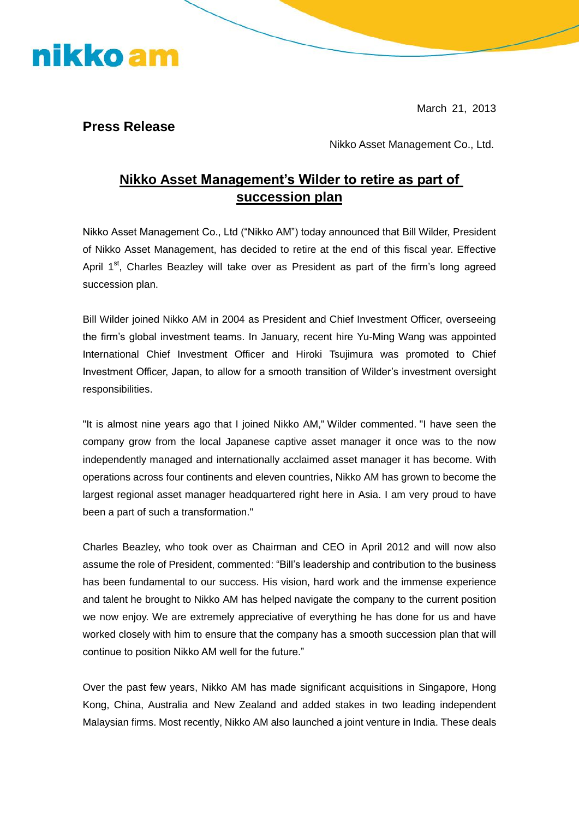March 21, 2013

**Press Release** 

nikko am

Nikko Asset Management Co., Ltd.

## **Nikko Asset Management's Wilder to retire as part of succession plan**

Nikko Asset Management Co., Ltd ("Nikko AM") today announced that Bill Wilder, President of Nikko Asset Management, has decided to retire at the end of this fiscal year. Effective April 1<sup>st</sup>, Charles Beazley will take over as President as part of the firm's long agreed succession plan.

Bill Wilder joined Nikko AM in 2004 as President and Chief Investment Officer, overseeing the firm's global investment teams. In January, recent hire Yu-Ming Wang was appointed International Chief Investment Officer and Hiroki Tsujimura was promoted to Chief Investment Officer, Japan, to allow for a smooth transition of Wilder's investment oversight responsibilities.

"It is almost nine years ago that I joined Nikko AM," Wilder commented. "I have seen the company grow from the local Japanese captive asset manager it once was to the now independently managed and internationally acclaimed asset manager it has become. With operations across four continents and eleven countries, Nikko AM has grown to become the largest regional asset manager headquartered right here in Asia. I am very proud to have been a part of such a transformation."

Charles Beazley, who took over as Chairman and CEO in April 2012 and will now also assume the role of President, commented: "Bill's leadership and contribution to the business has been fundamental to our success. His vision, hard work and the immense experience and talent he brought to Nikko AM has helped navigate the company to the current position we now enjoy. We are extremely appreciative of everything he has done for us and have worked closely with him to ensure that the company has a smooth succession plan that will continue to position Nikko AM well for the future."

Over the past few years, Nikko AM has made significant acquisitions in Singapore, Hong Kong, China, Australia and New Zealand and added stakes in two leading independent Malaysian firms. Most recently, Nikko AM also launched a joint venture in India. These deals